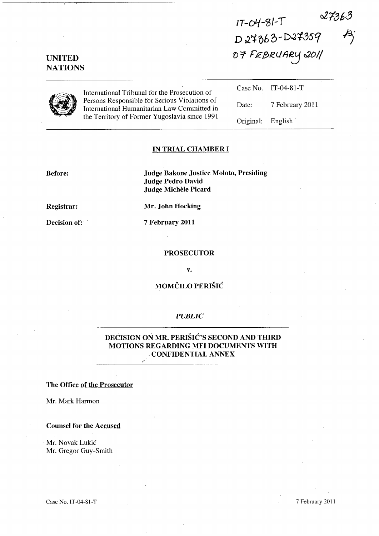$27363$  $1T-04-81-T$ D 27363-D27359<br>07 FEBRUARY 2011  $A_j$ 

# UNITED **NATIONS**

|--|

International Tribunal for the Prosecution of Persons Responsible for Serious Violations of International Humanitarian Law Committed in the Territory of Former Yugoslavia since 1991 Case No. Date: Original: IT-04-81-T 7 February 2011 English

## IN TRIAL CHAMBER **I**

Before: Judge Bakone Justice Moloto, Presiding Judge Pedro David Judge Michèle Picard

Registrar: Mr. John Hocking

Decision of: 7 February 2011

#### PROSECUTOR

v.

# MOMCILO PERISIC

## *PUBLIC*

# DECISION ON MR. PERISIC'S SECOND AND THIRD MOTIONS REGARDING MFI DOCUMENTS WITH -CONFIDENTIAL ANNEX

*I'* 

#### The Office of the Prosecutor

Mr. Mark Harmon

Counsel for the Accused

Mr. Novak Lukic Mr. Gregor Guy-Smith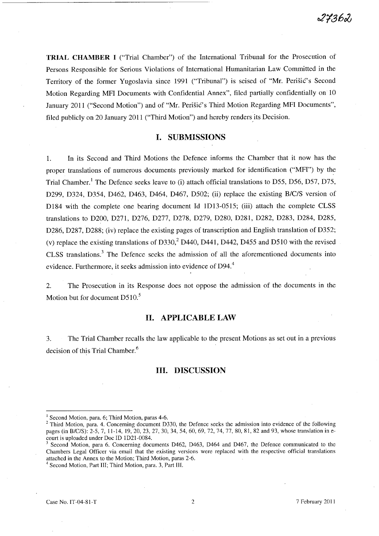**TRIAL CHAMBER I** ("Trial Chamber") of the International Tribunal for the Prosecution of Persons Responsible for Serious Violations of International Humanitarian Law Committed in the Territory of the former Yugoslavia since 1991 ("Tribunal") is seised of "Mr. Perisic's Second Motion Regarding MFI Documents with Confidential Annex", filed partially confidentially on 10 January 2011 ("Second Motion") and of "Mr. Perisic's Third Motion Regarding MFI Documents", filed publicly on 20 January 2011 ("Third Motion") and hereby renders its Decision.

## **I. SUBMISSIONS**

1. In its Second and Third Motions the Defence informs the Chamber that it now has the proper translations of numerous documents previously marked for identification  $("MF]$ ") by the Trial Chamber.<sup>1</sup> The Defence seeks leave to (i) attach official translations to D55, D56, D57, D75, D299, D324, D354, D462, D463, D464, D467, D502; (ii) replace the existing *B/C/S* version of D184 with the complete one bearing document Id 1D13-0515; (iii) attach the complete CLSS translations to D200, D271, D276, D277, D278, D279, D280, D281, D282, D283, D284, D285, D286, D287, D288; (iv) replace the existing pages of transcription and English translation of D352; (v) replace the existing translations of D330,<sup>2</sup> D440, D441, D442, D455 and D510 with the revised CLSS translations.3 The Defence seeks the admission of all the aforementioned documents into evidence. Furthermore, it seeks admission into evidence of D94.<sup>4</sup>

2. The Prosecution in its Response does not oppose the admission of the documents in the Motion but for document  $D510$ .<sup>5</sup>

### **H. APPLICABLE LAW**

3. The Trial Chamber recalls the law applicable to the present Motions as set out in a previous decision of this Trial Chamber.<sup>6</sup>

## **HI. DISCUSSION**

 $<sup>1</sup>$  Second Motion, para. 6; Third Motion, paras 4-6.</sup>

<sup>&</sup>lt;sup>2</sup> Third Motion, para. 4. Concerning document D330, the Defence seeks the admission into evidence of the following pages (in B/c/S): 2-5, 7, 11-14, 19,20,23,27,30,34,54,60,69,72,74,77, SO, SI, S2 and 93, whose translation in ecourt is uploaded under Doc ID ID21-00S4.

Second Motion, para 6. Concerning documents D462, D463, D464 and D467, the Defence communicated to the Chambers Legal Officer via email that the existing versions were replaced with the respective official translations attached in the Annex to the Motion; Third Motion, paras 2-6.

<sup>&</sup>lt;sup>4</sup> Second Motion, Part III; Third Motion, para. 3, Part III.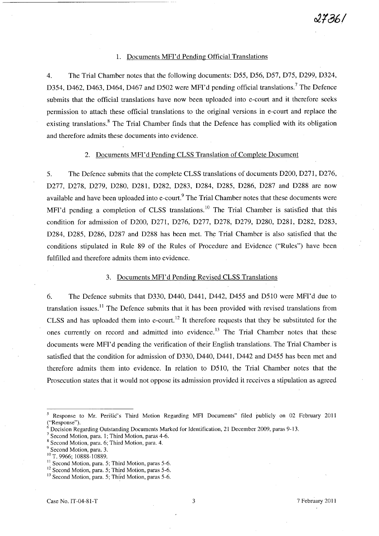### 1. Documents MFI'd Pending Official Translations

4. The Trial Chamber notes that the following documents: D55, D56, D57, D75, D299, D324, D354, D462, D463, D464, D467 and D502 were MFI'd pending official translations.<sup>7</sup> The Defence submits that the official translations have now been uploaded into e-court and it therefore seeks permission to attach these official translations to the original versions in e-court and replace the existing translations.<sup>8</sup> The Trial Chamber finds that the Defence has complied with its obligation and therefore admits these documents into evidence.

### 2. Documents MFI'd Pending CLSS Translation of Complete Document

5. The Defence submits that the complete CLSS translations of documents D200, D271, D276, D277, D278, D279, D280, D281, D282, D283, D284, D285, D286, D287 and D288 are now available and have been uploaded into e-court.<sup>9</sup> The Trial Chamber notes that these documents were MFI'd pending a completion of CLSS translations.<sup>10</sup> The Trial Chamber is satisfied that this condition for admission of D200, D271, D276, D277, D278, D279, D280, D281, D282, D283, D284, D285, D286, D287 and D288 has been met. The Trial Chamber is also satisfied that the conditions stipulated in Rule 89 of the Rules of Procedure and Evidence ("Rules") have been fulfilled and therefore admits them into evidence.

# 3. Documents MFI'd Pending Revised CLSS Translations

6. The Defence submits that D330, D440, D441, D442, D455 and D510 were MFI'd due to translation issues.<sup>11</sup> The Defence submits that it has been provided with revised translations from CLSS and has uploaded them into e-court.<sup>12</sup> It therefore requests that they be substituted for the ones currently on record and admitted into evidence.<sup>13</sup> The Trial Chamber notes that these documents were MFI'd pending the verification of their English translations. The Trial Chamber is satisfied that the condition for admission of D330, D440, D441, D442 and D455 has been met and therefore admits them into evidence. In relation to D51O, the Trial Chamber notes that the Prosecution states that it would not oppose its admission provided it receives a stipulation as agreed

<sup>10</sup> T. 9966; 10888-10889.

<sup>5</sup> Response to Mr. Perisic's Third Motion Regarding MFI Documents" filed publicly on 02 February 2011 ("Response").

<sup>6</sup> Decision Regarding Outstanding Documents Marked for Identification, 21 December 2009, paras 9-13.

<sup>7</sup> Second Motion, para. 1; Third Motion, paras 4-6.

<sup>8</sup> Second Motion, para. 6; Third Motion, para. 4.

<sup>&</sup>lt;sup>9</sup> Second Motion, para. 3.

<sup>&</sup>lt;sup>11</sup> Second Motion, para. 5; Third Motion, paras 5-6.

<sup>&</sup>lt;sup>12</sup> Second Motion, para. 5; Third Motion, paras 5-6.

<sup>&</sup>lt;sup>13</sup> Second Motion, para. 5; Third Motion, paras 5-6.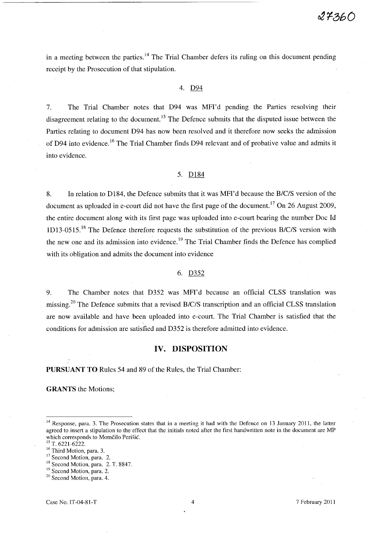in a meeting between the parties.<sup>14</sup> The Trial Chamber defers its ruling on this document pending receipt by the Prosecution of that stipulation.

## 4. D94

7. The Trial Chamber notes that D94 was MFI'd pending the Parties resolving their disagreement relating to the document.<sup>15</sup> The Defence submits that the disputed issue between the Parties relating to document D94 has now been resolved and it therefore now seeks the admission of D94 into evidence.<sup>16</sup> The Trial Chamber finds D94 relevant and of probative value and admits it into evidence.

### 5. D184

8. In relation to D184, the Defence submits that it was MFI'd because the *B/C/S* version of the document as uploaded in e-court did not have the first page of the document.<sup>17</sup> On 26 August 2009, the entire document along with its first page was uploaded into e-court bearing the number Doc **Id**  1D13-0515. 18 The Defence therefore requests the substitution of the previous *B/c/S* version with the new one and its admission into evidence.<sup>19</sup> The Trial Chamber finds the Defence has complied with its obligation and admits the document into evidence

#### 6. D352

9. The Chamber notes that D352 was MFI'd because an official CLSS translation was missing. 2o The Defence submits that a revised *B/c/S* transcription and an official CLSS translation are now available and have been uploaded into e-court. The Trial Chamber is satisfied that the conditions for admission are satisfied and D352 is therefore admitted into evidence.

## **IV. DISPOSITION**

**PURSUANT TO** Rules 54 and 89 of the Rules, the Trial Chamber:

**GRANTS** the Motions;

<sup>18</sup> Second Motion, para. 2. T. 8847.

<sup>&</sup>lt;sup>14</sup> Response, para. 3. The Prosecution states that in a meeting it had with the Defence on 13 January 2011, the latter agreed to insert a stipulation to the effect that the initials noted after the first handwritten note in the document are MP which corresponds to Momčilo Perišić.

 $15$  T. 6221-6222.

<sup>&</sup>lt;sup>16</sup> Third Motion, para. 3.

<sup>&</sup>lt;sup>17</sup> Second Motion, para. 2.

<sup>&</sup>lt;sup>19</sup> Second Motion, para. 2.

<sup>&</sup>lt;sup>20</sup> Second Motion, para. 4.